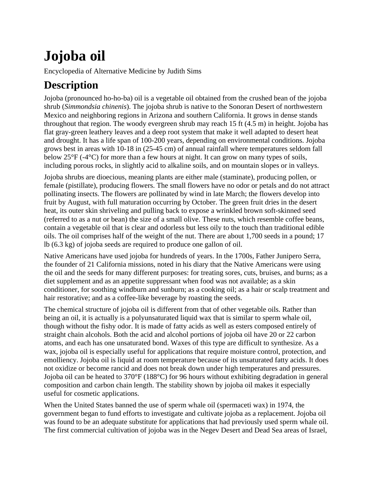## **Jojoba oil**

[Encyclopedia of Alternative Medicine](http://www.findarticles.com/p/articles/mi_g2603) by [Judith Sims](http://www.findarticles.com/p/search?tb=art&qt=%22Judith+Sims%22) 

## **Description**

Jojoba (pronounced ho-ho-ba) oil is a vegetable oil obtained from the crushed bean of the jojoba shrub (*Simmondsia chinenis*). The jojoba shrub is native to the Sonoran Desert of northwestern Mexico and neighboring regions in Arizona and southern California. It grows in dense stands throughout that region. The woody evergreen shrub may reach 15 ft (4.5 m) in height. Jojoba has flat gray-green leathery leaves and a deep root system that make it well adapted to desert heat and drought. It has a life span of 100-200 years, depending on environmental conditions. Jojoba grows best in areas with 10-18 in (25-45 cm) of annual rainfall where temperatures seldom fall below  $25^{\circ}F$  (-4 $^{\circ}C$ ) for more than a few hours at night. It can grow on many types of soils, including porous rocks, in slightly acid to alkaline soils, and on mountain slopes or in valleys.

Jojoba shrubs are dioecious, meaning plants are either male (staminate), producing pollen, or female (pistillate), producing flowers. The small flowers have no odor or petals and do not attract pollinating insects. The flowers are pollinated by wind in late March; the flowers develop into fruit by August, with full maturation occurring by October. The green fruit dries in the desert heat, its outer skin shriveling and pulling back to expose a wrinkled brown soft-skinned seed (referred to as a nut or bean) the size of a small olive. These nuts, which resemble coffee beans, contain a vegetable oil that is clear and odorless but less oily to the touch than traditional edible oils. The oil comprises half of the weight of the nut. There are about 1,700 seeds in a pound; 17 lb (6.3 kg) of jojoba seeds are required to produce one gallon of oil.

Native Americans have used jojoba for hundreds of years. In the 1700s, Father Junipero Serra, the founder of 21 California missions, noted in his diary that the Native Americans were using the oil and the seeds for many different purposes: for treating sores, cuts, bruises, and burns; as a diet supplement and as an appetite suppressant when food was not available; as a skin conditioner, for soothing windburn and sunburn; as a cooking oil; as a hair or scalp treatment and hair restorative; and as a coffee-like beverage by roasting the seeds.

The chemical structure of jojoba oil is different from that of other vegetable oils. Rather than being an oil, it is actually is a polyunsaturated liquid wax that is similar to sperm whale oil, though without the fishy odor. It is made of fatty acids as well as esters composed entirely of straight chain alcohols. Both the acid and alcohol portions of jojoba oil have 20 or 22 carbon atoms, and each has one unsaturated bond. Waxes of this type are difficult to synthesize. As a wax, jojoba oil is especially useful for applications that require moisture control, protection, and emolliency. Jojoba oil is liquid at room temperature because of its unsaturated fatty acids. It does not oxidize or become rancid and does not break down under high temperatures and pressures. Jojoba oil can be heated to 370°F (188°C) for 96 hours without exhibiting degradation in general composition and carbon chain length. The stability shown by jojoba oil makes it especially useful for cosmetic applications.

When the United States banned the use of sperm whale oil (spermaceti wax) in 1974, the government began to fund efforts to investigate and cultivate jojoba as a replacement. Jojoba oil was found to be an adequate substitute for applications that had previously used sperm whale oil. The first commercial cultivation of jojoba was in the Negev Desert and Dead Sea areas of Israel,